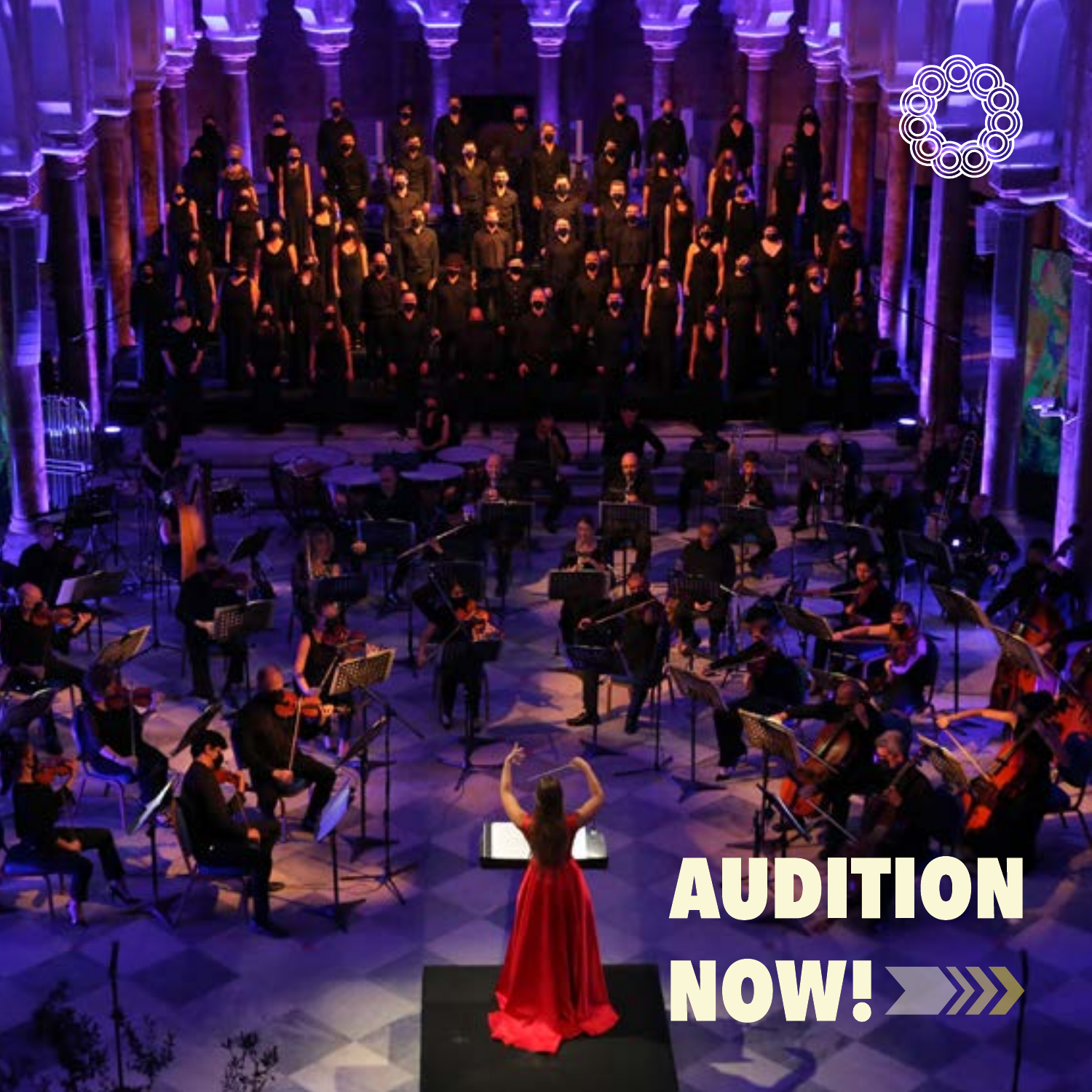# **00 AUDITION** NOW! >>>>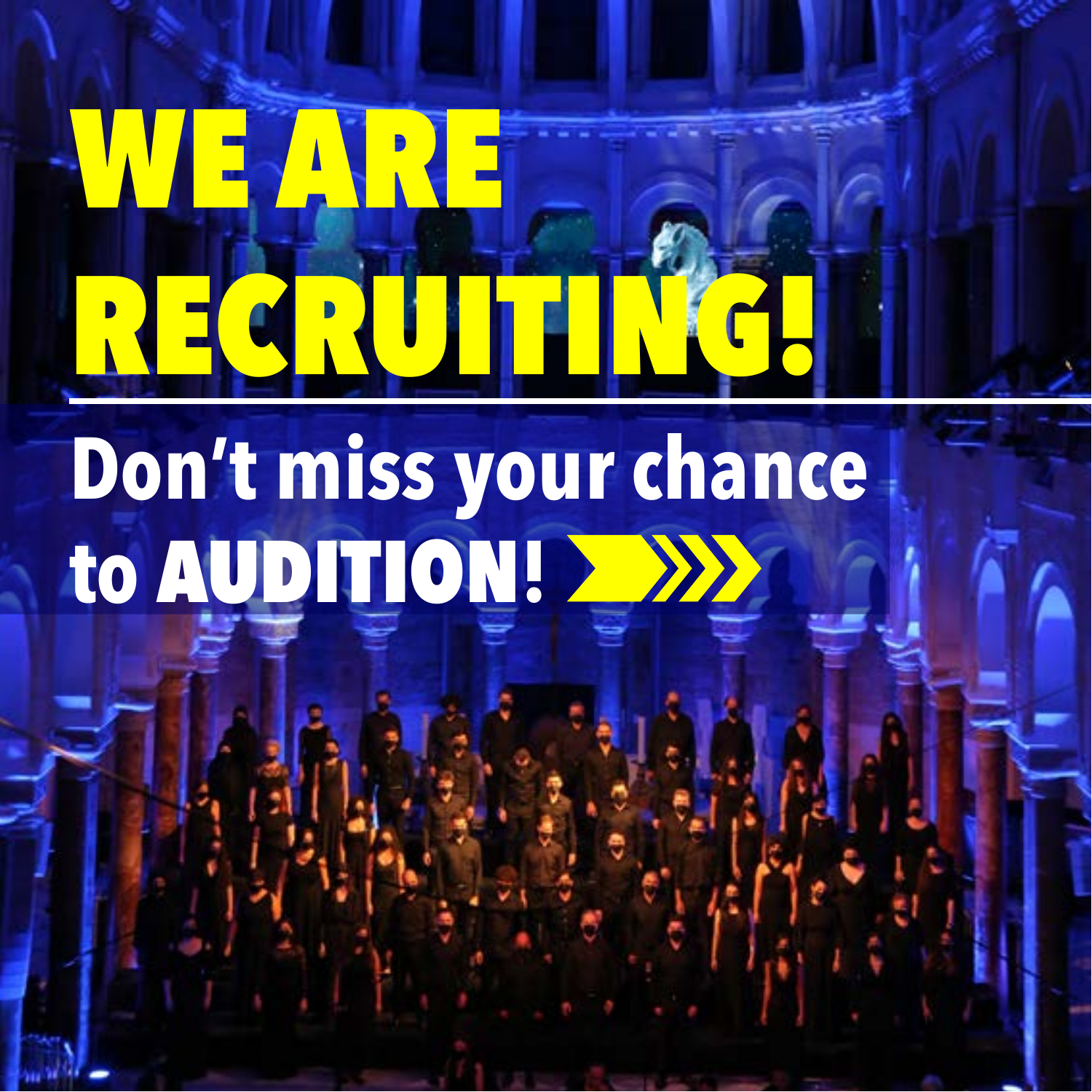### WE ARE RECRUITING!

**Don't miss your chance to** AUDITION**!**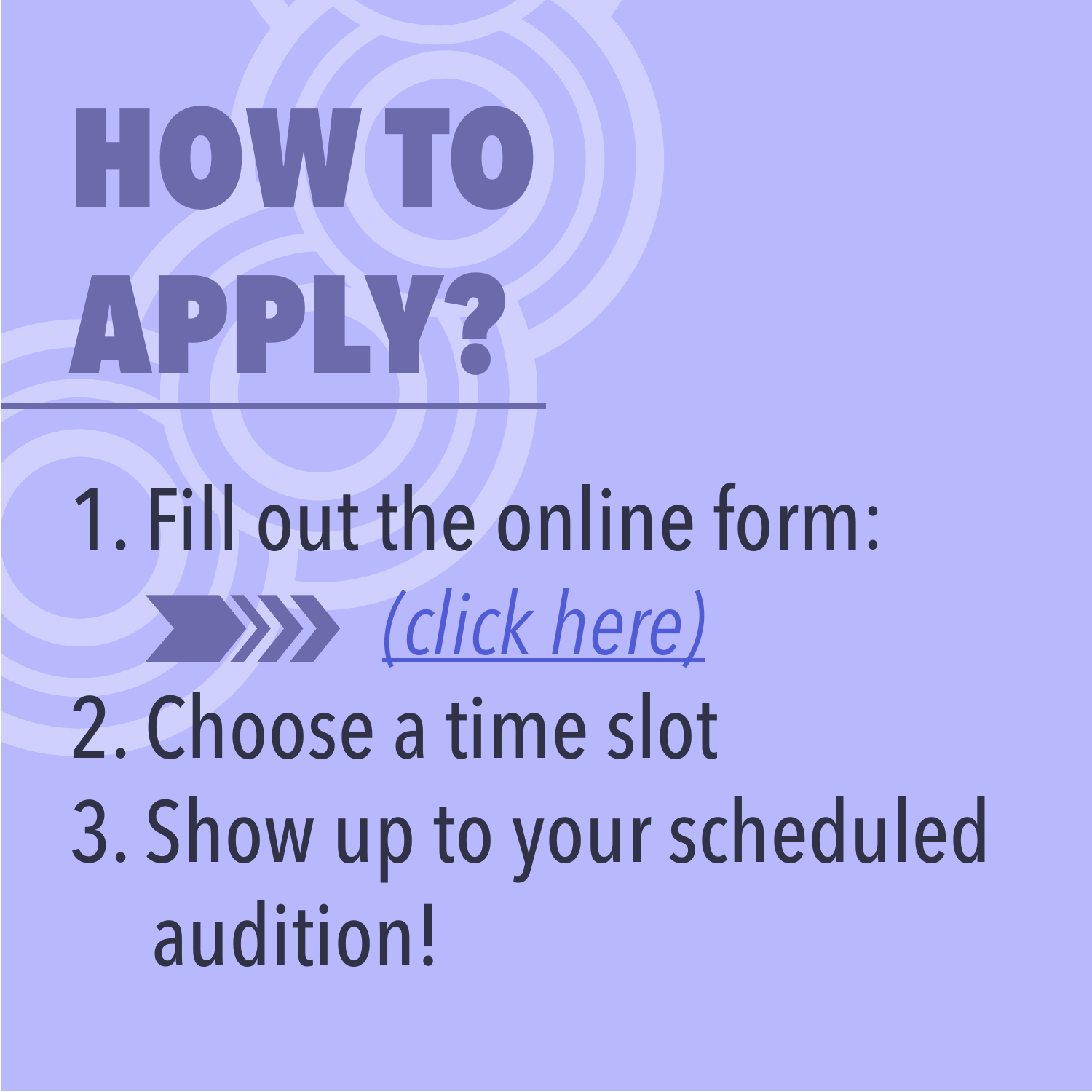### HOW TO APPLY?

1. Fill out the online form: *[\(click here\)](https://forms.gle/5WAjBEW48o5diYc79)* 2. Choose a time slot [3. Show up to your scheduled](https://forms.gle/1tSPTBp4ELqnWXeC8) audition!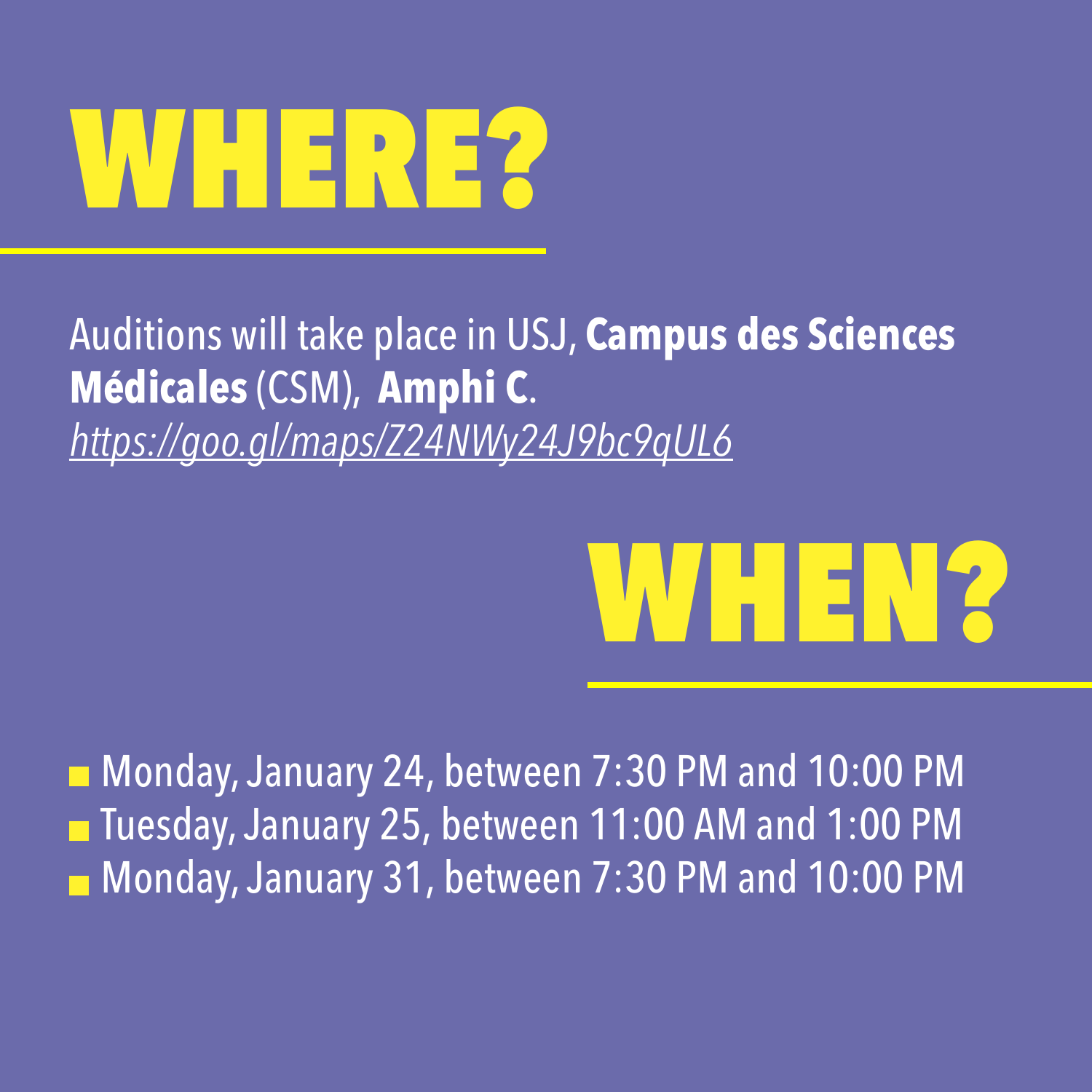#### WHERE?

Auditions will take place in USJ, **Campus des Sciences Médicales** (CSM), **Amphi C**. *<https://goo.gl/maps/Z24NWy24J9bc9qUL6>*

#### WHEN?

■ Monday, January 24, between 7:30 PM and 10:00 PM ■ Tuesday, January 25, between 11:00 AM and 1:00 PM Monday, January 31, between 7:30 PM and 10:00 PM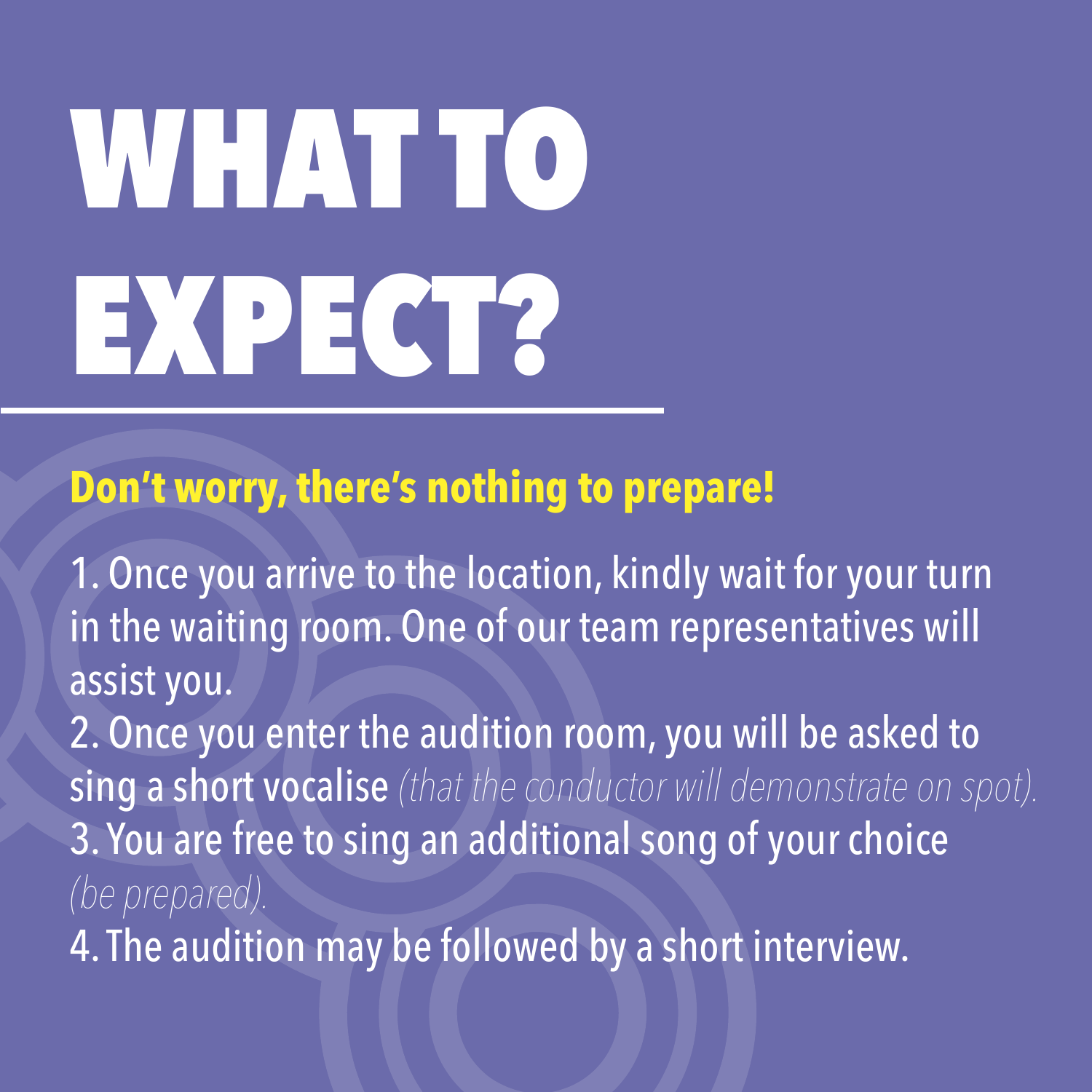### WHAT TO EXPECT?

#### **Don't worry, there's nothing to prepare!**

1. Once you arrive to the location, kindly wait for your turn in the waiting room. One of our team representatives will assist you.

2. Once you enter the audition room, you will be asked to sing a short vocalise *(that the conductor will demonstrate on spot).* 3. You are free to sing an additional song of your choice *(be prepared).*

4. The audition may be followed by a short interview.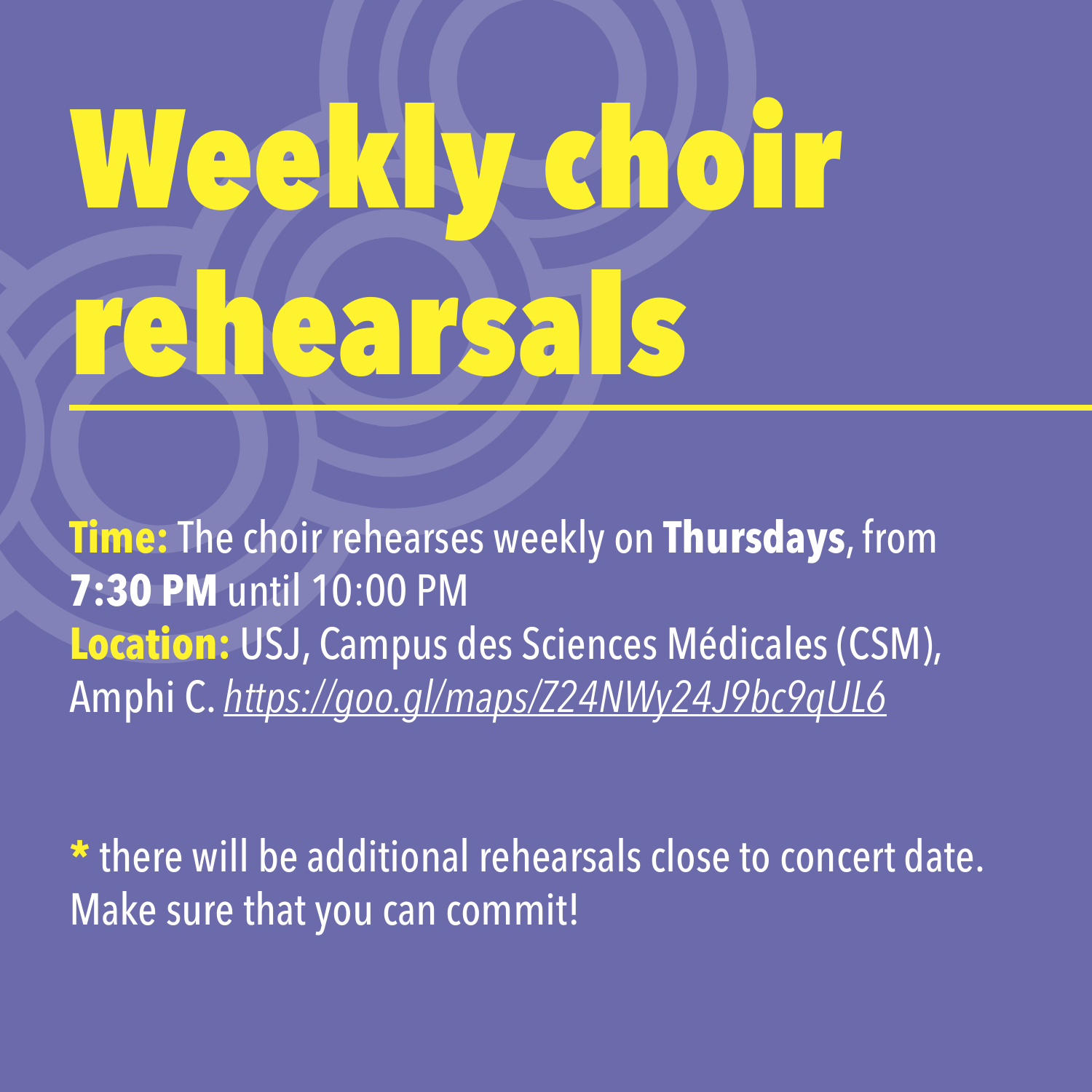## Weekly choir rehearsals

**Time:** The choir rehearses weekly on **Thursdays**, from **7:30 PM** until 10:00 PM **Location:** USJ, Campus des Sciences Médicales (CSM), Amphi C. *<https://goo.gl/maps/Z24NWy24J9bc9qUL6>*

**\*** there will be additional rehearsals close to concert date. Make sure that you can commit!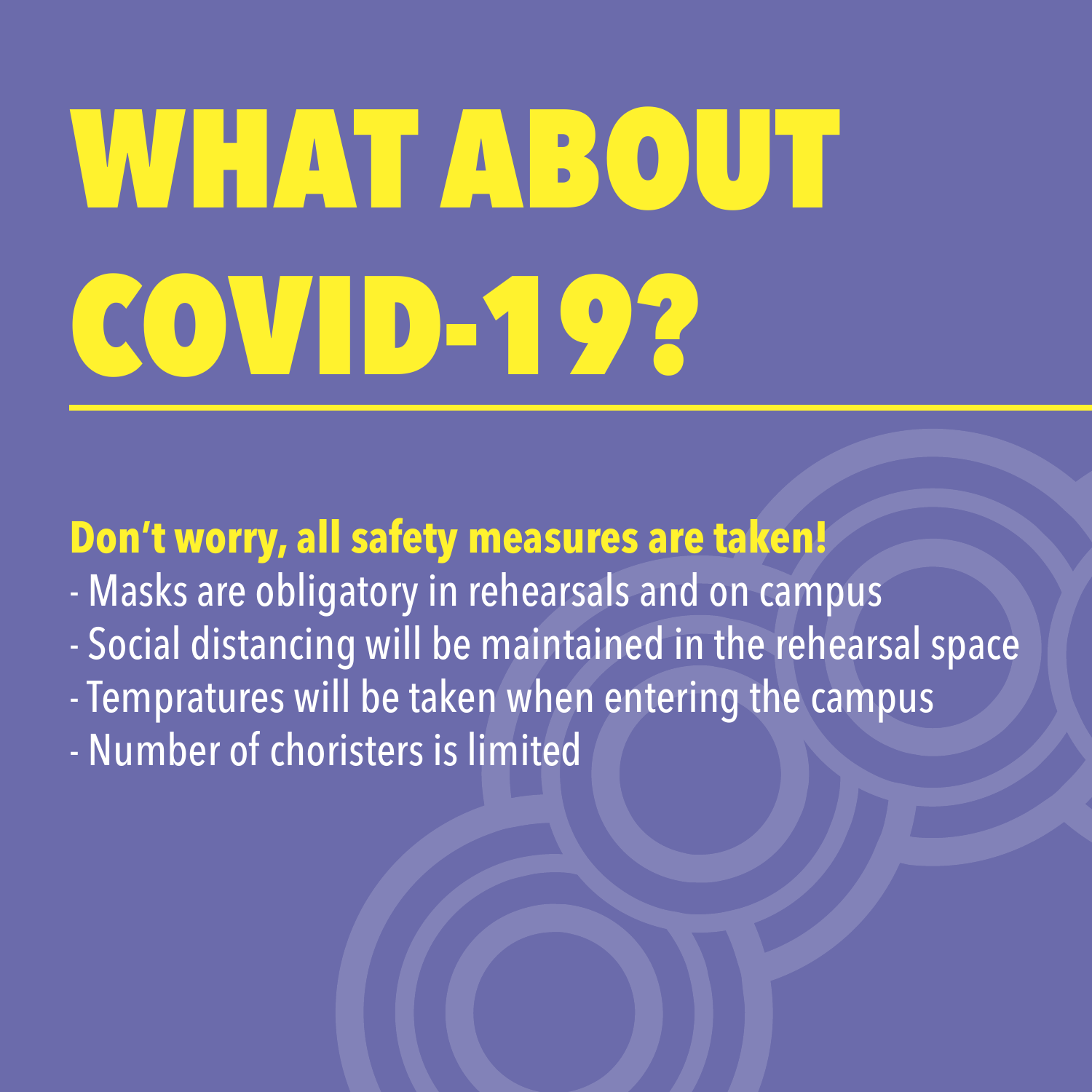#### WHAT ABOUT COVID-19?

**Don't worry, all safety measures are taken!**

- Masks are obligatory in rehearsals and on campus
- Social distancing will be maintained in the rehearsal space
- Tempratures will be taken when entering the campus
- Number of choristers is limited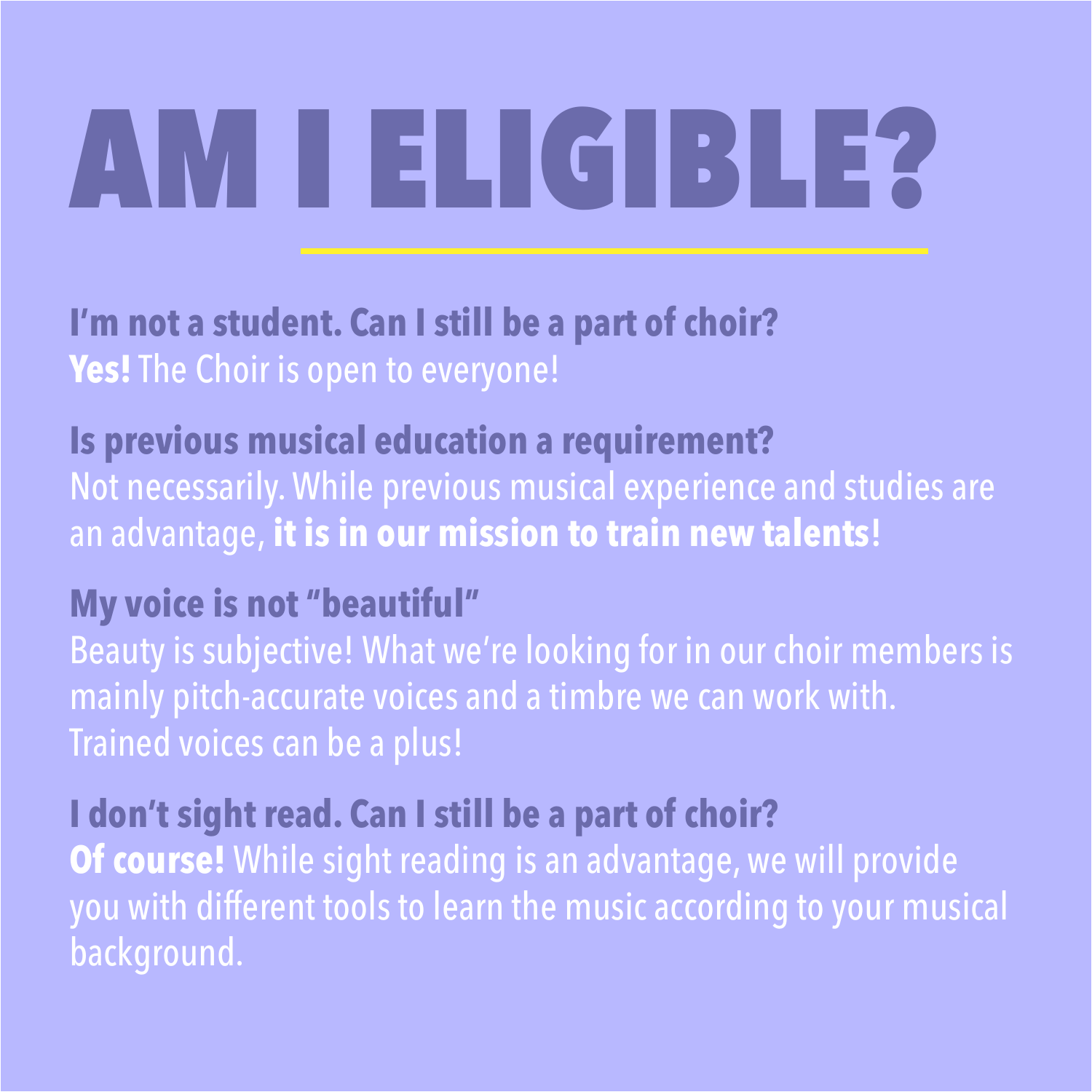### AM I ELIGIBLE?

**I'm not a student. Can I still be a part of choir? Yes!** The Choir is open to everyone!

#### **Is previous musical education a requirement?**

Not necessarily. While previous musical experience and studies are an advantage, **it is in our mission to train new talents!**

#### **My voice is not "beautiful"**

Beauty is subjective! What we're looking for in our choir members is mainly pitch-accurate voices and a timbre we can work with. Trained voices can be a plus!

#### **I don't sight read. Can I still be a part of choir?**

**Of course!** While sight reading is an advantage, we will provide you with different tools to learn the music according to your musical background.